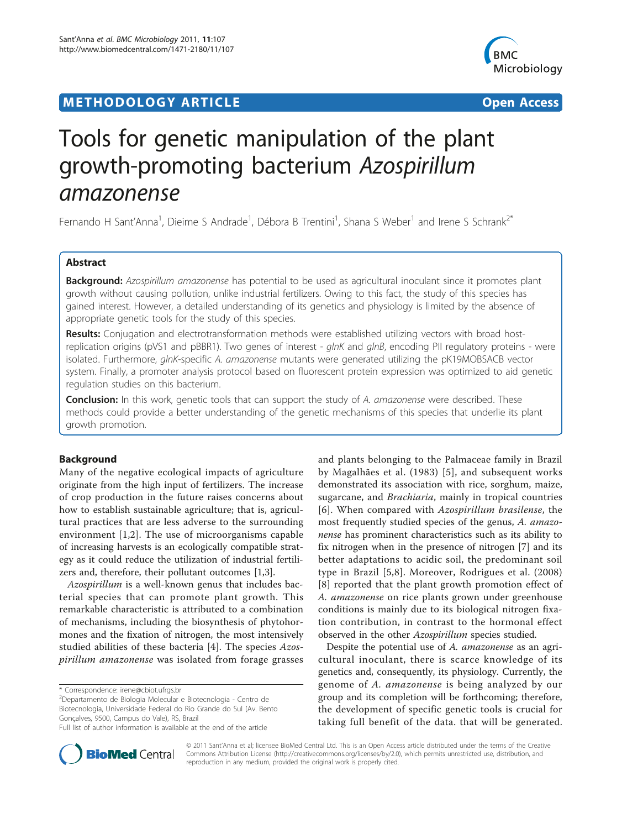# **METHODOLOGY ARTICLE Example 20 Open Access**



# Tools for genetic manipulation of the plant growth-promoting bacterium Azospirillum amazonense

Fernando H Sant'Anna<sup>1</sup>, Dieime S Andrade<sup>1</sup>, Débora B Trentini<sup>1</sup>, Shana S Weber<sup>1</sup> and Irene S Schrank<sup>2\*</sup>

# Abstract

Background: Azospirillum amazonense has potential to be used as agricultural inoculant since it promotes plant growth without causing pollution, unlike industrial fertilizers. Owing to this fact, the study of this species has gained interest. However, a detailed understanding of its genetics and physiology is limited by the absence of appropriate genetic tools for the study of this species.

Results: Conjugation and electrotransformation methods were established utilizing vectors with broad hostreplication origins (pVS1 and pBBR1). Two genes of interest - glnK and glnB, encoding PII regulatory proteins - were isolated. Furthermore, glnK-specific A. amazonense mutants were generated utilizing the pK19MOBSACB vector system. Finally, a promoter analysis protocol based on fluorescent protein expression was optimized to aid genetic regulation studies on this bacterium.

**Conclusion:** In this work, genetic tools that can support the study of A. amazonense were described. These methods could provide a better understanding of the genetic mechanisms of this species that underlie its plant growth promotion.

## Background

Many of the negative ecological impacts of agriculture originate from the high input of fertilizers. The increase of crop production in the future raises concerns about how to establish sustainable agriculture; that is, agricultural practices that are less adverse to the surrounding environment [\[1](#page-9-0),[2\]](#page-9-0). The use of microorganisms capable of increasing harvests is an ecologically compatible strategy as it could reduce the utilization of industrial fertilizers and, therefore, their pollutant outcomes [\[1,3](#page-9-0)].

Azospirillum is a well-known genus that includes bacterial species that can promote plant growth. This remarkable characteristic is attributed to a combination of mechanisms, including the biosynthesis of phytohormones and the fixation of nitrogen, the most intensively studied abilities of these bacteria [[4\]](#page-9-0). The species Azospirillum amazonense was isolated from forage grasses

\* Correspondence: [irene@cbiot.ufrgs.br](mailto:irene@cbiot.ufrgs.br)

2 Departamento de Biologia Molecular e Biotecnologia - Centro de Biotecnologia, Universidade Federal do Rio Grande do Sul (Av. Bento Gonçalves, 9500, Campus do Vale), RS, Brazil

and plants belonging to the Palmaceae family in Brazil by Magalhães et al. (1983) [[5](#page-9-0)], and subsequent works demonstrated its association with rice, sorghum, maize, sugarcane, and *Brachiaria*, mainly in tropical countries [[6](#page-9-0)]. When compared with Azospirillum brasilense, the most frequently studied species of the genus, A. amazonense has prominent characteristics such as its ability to fix nitrogen when in the presence of nitrogen [\[7](#page-9-0)] and its better adaptations to acidic soil, the predominant soil type in Brazil [[5](#page-9-0),[8\]](#page-9-0). Moreover, Rodrigues et al. (2008) [[8](#page-9-0)] reported that the plant growth promotion effect of A. amazonense on rice plants grown under greenhouse conditions is mainly due to its biological nitrogen fixation contribution, in contrast to the hormonal effect observed in the other Azospirillum species studied.

Despite the potential use of A. amazonense as an agricultural inoculant, there is scarce knowledge of its genetics and, consequently, its physiology. Currently, the genome of A. amazonense is being analyzed by our group and its completion will be forthcoming; therefore, the development of specific genetic tools is crucial for taking full benefit of the data. that will be generated.



© 2011 Sant'Anna et al; licensee BioMed Central Ltd. This is an Open Access article distributed under the terms of the Creative Commons Attribution License [\(http://creativecommons.org/licenses/by/2.0](http://creativecommons.org/licenses/by/2.0)), which permits unrestricted use, distribution, and reproduction in any medium, provided the original work is properly cited.

Full list of author information is available at the end of the article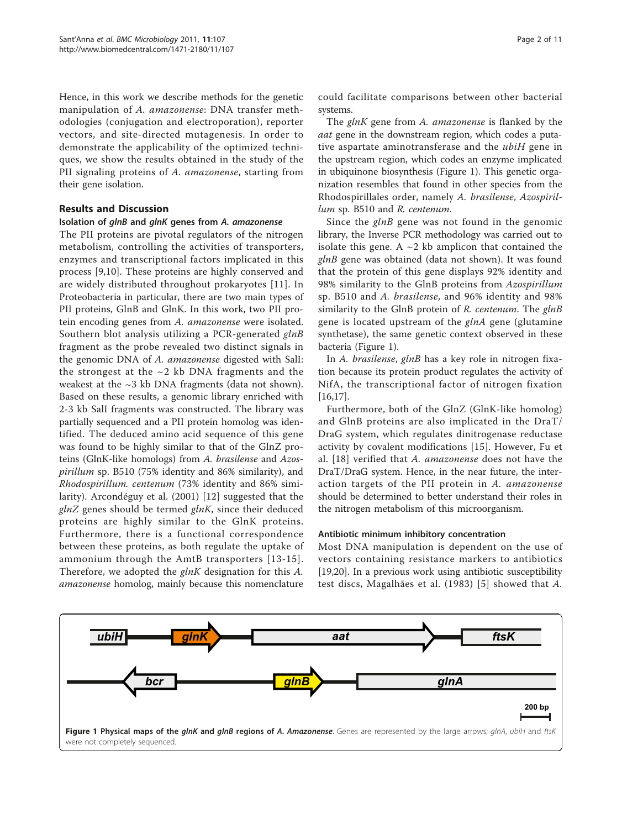Hence, in this work we describe methods for the genetic manipulation of A. amazonense: DNA transfer methodologies (conjugation and electroporation), reporter vectors, and site-directed mutagenesis. In order to demonstrate the applicability of the optimized techniques, we show the results obtained in the study of the PII signaling proteins of A. amazonense, starting from their gene isolation.

## Results and Discussion

## Isolation of glnB and glnK genes from A. amazonense

The PII proteins are pivotal regulators of the nitrogen metabolism, controlling the activities of transporters, enzymes and transcriptional factors implicated in this process [\[9,10](#page-9-0)]. These proteins are highly conserved and are widely distributed throughout prokaryotes [\[11](#page-9-0)]. In Proteobacteria in particular, there are two main types of PII proteins, GlnB and GlnK. In this work, two PII protein encoding genes from A. amazonense were isolated. Southern blot analysis utilizing a PCR-generated glnB fragment as the probe revealed two distinct signals in the genomic DNA of A. amazonense digested with SalI: the strongest at the  $\sim$ 2 kb DNA fragments and the weakest at the ~3 kb DNA fragments (data not shown). Based on these results, a genomic library enriched with 2-3 kb SalI fragments was constructed. The library was partially sequenced and a PII protein homolog was identified. The deduced amino acid sequence of this gene was found to be highly similar to that of the GlnZ proteins (GlnK-like homologs) from A. brasilense and Azospirillum sp. B510 (75% identity and 86% similarity), and Rhodospirillum. centenum (73% identity and 86% similarity). Arcondéguy et al. (2001) [[12\]](#page-9-0) suggested that the  $glnZ$  genes should be termed  $glnK$ , since their deduced proteins are highly similar to the GlnK proteins. Furthermore, there is a functional correspondence between these proteins, as both regulate the uptake of ammonium through the AmtB transporters [[13](#page-9-0)-[15\]](#page-9-0). Therefore, we adopted the *glnK* designation for this A. amazonense homolog, mainly because this nomenclature

could facilitate comparisons between other bacterial systems.

The *glnK* gene from A. amazonense is flanked by the aat gene in the downstream region, which codes a putative aspartate aminotransferase and the ubiH gene in the upstream region, which codes an enzyme implicated in ubiquinone biosynthesis (Figure 1). This genetic organization resembles that found in other species from the Rhodospirillales order, namely A. brasilense, Azospirillum sp. B510 and R. centenum.

Since the  $glnB$  gene was not found in the genomic library, the Inverse PCR methodology was carried out to isolate this gene. A  $\sim$ 2 kb amplicon that contained the glnB gene was obtained (data not shown). It was found that the protein of this gene displays 92% identity and 98% similarity to the GlnB proteins from Azospirillum sp. B510 and A. brasilense, and 96% identity and 98% similarity to the GlnB protein of  $R$ . centenum. The glnB gene is located upstream of the  $glnA$  gene (glutamine synthetase), the same genetic context observed in these bacteria (Figure 1).

In A. brasilense, glnB has a key role in nitrogen fixation because its protein product regulates the activity of NifA, the transcriptional factor of nitrogen fixation [[16,17\]](#page-9-0).

Furthermore, both of the GlnZ (GlnK-like homolog) and GlnB proteins are also implicated in the DraT/ DraG system, which regulates dinitrogenase reductase activity by covalent modifications [\[15](#page-9-0)]. However, Fu et al. [\[18\]](#page-9-0) verified that A. amazonense does not have the DraT/DraG system. Hence, in the near future, the interaction targets of the PII protein in A. amazonense should be determined to better understand their roles in the nitrogen metabolism of this microorganism.

#### Antibiotic minimum inhibitory concentration

Most DNA manipulation is dependent on the use of vectors containing resistance markers to antibiotics [[19,20\]](#page-9-0). In a previous work using antibiotic susceptibility test discs, Magalhães et al. (1983) [[5\]](#page-9-0) showed that A.

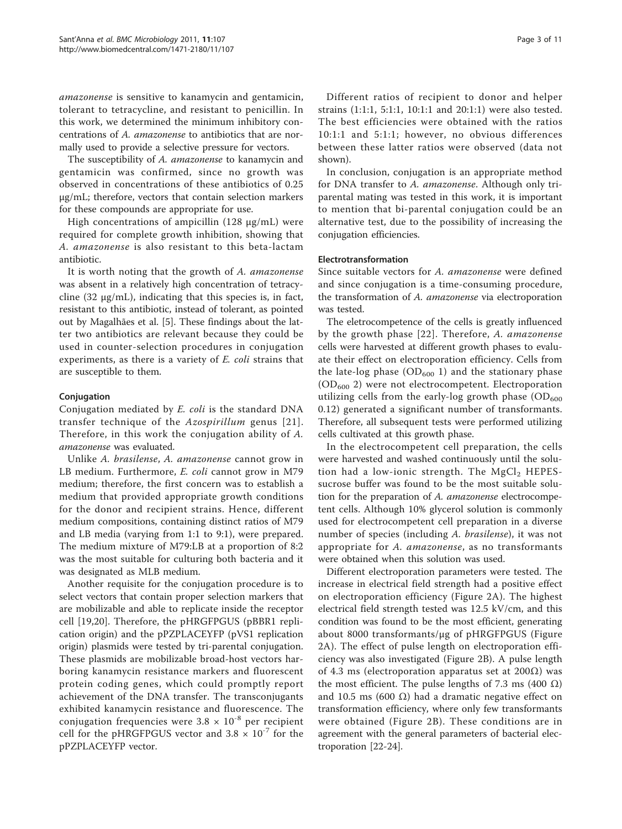amazonense is sensitive to kanamycin and gentamicin, tolerant to tetracycline, and resistant to penicillin. In this work, we determined the minimum inhibitory concentrations of A. amazonense to antibiotics that are normally used to provide a selective pressure for vectors.

The susceptibility of A. amazonense to kanamycin and gentamicin was confirmed, since no growth was observed in concentrations of these antibiotics of 0.25 μg/mL; therefore, vectors that contain selection markers for these compounds are appropriate for use.

High concentrations of ampicillin  $(128 \mu g/mL)$  were required for complete growth inhibition, showing that A. amazonense is also resistant to this beta-lactam antibiotic.

It is worth noting that the growth of A. amazonense was absent in a relatively high concentration of tetracycline (32 μg/mL), indicating that this species is, in fact, resistant to this antibiotic, instead of tolerant, as pointed out by Magalhães et al. [\[5](#page-9-0)]. These findings about the latter two antibiotics are relevant because they could be used in counter-selection procedures in conjugation experiments, as there is a variety of E. coli strains that are susceptible to them.

#### Conjugation

Conjugation mediated by E. coli is the standard DNA transfer technique of the Azospirillum genus [[21\]](#page-9-0). Therefore, in this work the conjugation ability of A. amazonense was evaluated.

Unlike A. brasilense, A. amazonense cannot grow in LB medium. Furthermore, *E. coli* cannot grow in M79 medium; therefore, the first concern was to establish a medium that provided appropriate growth conditions for the donor and recipient strains. Hence, different medium compositions, containing distinct ratios of M79 and LB media (varying from 1:1 to 9:1), were prepared. The medium mixture of M79:LB at a proportion of 8:2 was the most suitable for culturing both bacteria and it was designated as MLB medium.

Another requisite for the conjugation procedure is to select vectors that contain proper selection markers that are mobilizable and able to replicate inside the receptor cell [[19,20](#page-9-0)]. Therefore, the pHRGFPGUS (pBBR1 replication origin) and the pPZPLACEYFP (pVS1 replication origin) plasmids were tested by tri-parental conjugation. These plasmids are mobilizable broad-host vectors harboring kanamycin resistance markers and fluorescent protein coding genes, which could promptly report achievement of the DNA transfer. The transconjugants exhibited kanamycin resistance and fluorescence. The conjugation frequencies were  $3.8 \times 10^{-8}$  per recipient cell for the pHRGFPGUS vector and  $3.8 \times 10^{-7}$  for the pPZPLACEYFP vector.

Different ratios of recipient to donor and helper strains (1:1:1, 5:1:1, 10:1:1 and 20:1:1) were also tested. The best efficiencies were obtained with the ratios 10:1:1 and 5:1:1; however, no obvious differences between these latter ratios were observed (data not shown).

In conclusion, conjugation is an appropriate method for DNA transfer to A. amazonense. Although only triparental mating was tested in this work, it is important to mention that bi-parental conjugation could be an alternative test, due to the possibility of increasing the conjugation efficiencies.

#### Electrotransformation

Since suitable vectors for A. amazonense were defined and since conjugation is a time-consuming procedure, the transformation of A. amazonense via electroporation was tested.

The eletrocompetence of the cells is greatly influenced by the growth phase [[22](#page-9-0)]. Therefore, A. amazonense cells were harvested at different growth phases to evaluate their effect on electroporation efficiency. Cells from the late-log phase  $OD_{600}$  1) and the stationary phase  $(OD<sub>600</sub> 2)$  were not electrocompetent. Electroporation utilizing cells from the early-log growth phase  $OD_{600}$ 0.12) generated a significant number of transformants. Therefore, all subsequent tests were performed utilizing cells cultivated at this growth phase.

In the electrocompetent cell preparation, the cells were harvested and washed continuously until the solution had a low-ionic strength. The  $MgCl<sub>2</sub>$  HEPESsucrose buffer was found to be the most suitable solution for the preparation of A. amazonense electrocompetent cells. Although 10% glycerol solution is commonly used for electrocompetent cell preparation in a diverse number of species (including A. brasilense), it was not appropriate for A. amazonense, as no transformants were obtained when this solution was used.

Different electroporation parameters were tested. The increase in electrical field strength had a positive effect on electroporation efficiency (Figure [2A](#page-3-0)). The highest electrical field strength tested was 12.5 kV/cm, and this condition was found to be the most efficient, generating about 8000 transformants/μg of pHRGFPGUS (Figure [2A\)](#page-3-0). The effect of pulse length on electroporation efficiency was also investigated (Figure [2B](#page-3-0)). A pulse length of 4.3 ms (electroporation apparatus set at 200 $\Omega$ ) was the most efficient. The pulse lengths of 7.3 ms (400 Ω) and 10.5 ms (600 Ω) had a dramatic negative effect on transformation efficiency, where only few transformants were obtained (Figure [2B](#page-3-0)). These conditions are in agreement with the general parameters of bacterial electroporation [[22](#page-9-0)-[24\]](#page-9-0).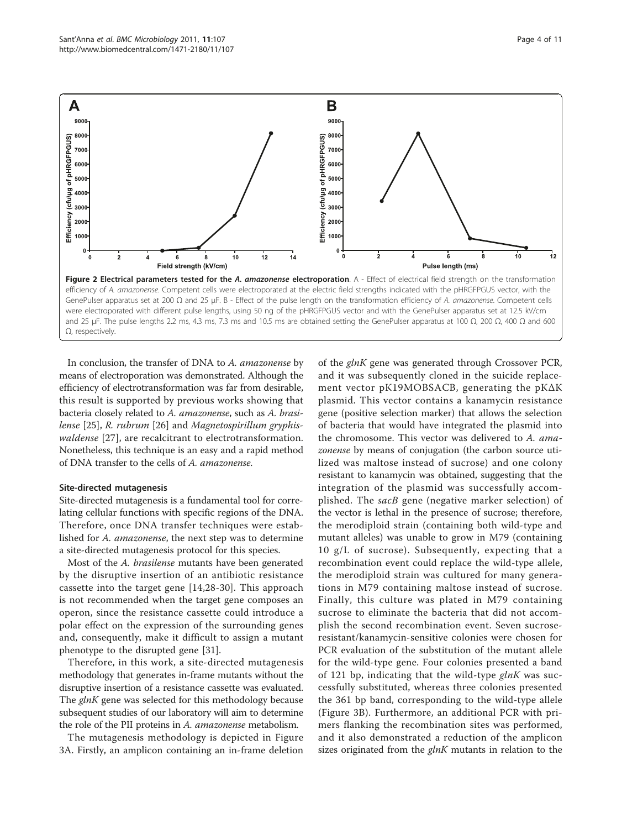<span id="page-3-0"></span>

In conclusion, the transfer of DNA to A. amazonense by means of electroporation was demonstrated. Although the efficiency of electrotransformation was far from desirable, this result is supported by previous works showing that bacteria closely related to A. amazonense, such as A. brasilense [[25](#page-10-0)], R. rubrum [\[26\]](#page-10-0) and Magnetospirillum gryphiswaldense [[27\]](#page-10-0), are recalcitrant to electrotransformation. Nonetheless, this technique is an easy and a rapid method of DNA transfer to the cells of A. amazonense.

#### Site-directed mutagenesis

Site-directed mutagenesis is a fundamental tool for correlating cellular functions with specific regions of the DNA. Therefore, once DNA transfer techniques were established for A. amazonense, the next step was to determine a site-directed mutagenesis protocol for this species.

Most of the A. brasilense mutants have been generated by the disruptive insertion of an antibiotic resistance cassette into the target gene [[14](#page-9-0),[28-30](#page-10-0)]. This approach is not recommended when the target gene composes an operon, since the resistance cassette could introduce a polar effect on the expression of the surrounding genes and, consequently, make it difficult to assign a mutant phenotype to the disrupted gene [[31](#page-10-0)].

Therefore, in this work, a site-directed mutagenesis methodology that generates in-frame mutants without the disruptive insertion of a resistance cassette was evaluated. The glnK gene was selected for this methodology because subsequent studies of our laboratory will aim to determine the role of the PII proteins in A. amazonense metabolism.

The mutagenesis methodology is depicted in Figure [3A.](#page-4-0) Firstly, an amplicon containing an in-frame deletion of the glnK gene was generated through Crossover PCR, and it was subsequently cloned in the suicide replacement vector pK19MOBSACB, generating the pKΔK plasmid. This vector contains a kanamycin resistance gene (positive selection marker) that allows the selection of bacteria that would have integrated the plasmid into the chromosome. This vector was delivered to A. amazonense by means of conjugation (the carbon source utilized was maltose instead of sucrose) and one colony resistant to kanamycin was obtained, suggesting that the integration of the plasmid was successfully accomplished. The sacB gene (negative marker selection) of the vector is lethal in the presence of sucrose; therefore, the merodiploid strain (containing both wild-type and mutant alleles) was unable to grow in M79 (containing 10 g/L of sucrose). Subsequently, expecting that a recombination event could replace the wild-type allele, the merodiploid strain was cultured for many generations in M79 containing maltose instead of sucrose. Finally, this culture was plated in M79 containing sucrose to eliminate the bacteria that did not accomplish the second recombination event. Seven sucroseresistant/kanamycin-sensitive colonies were chosen for PCR evaluation of the substitution of the mutant allele for the wild-type gene. Four colonies presented a band of 121 bp, indicating that the wild-type  $glnK$  was successfully substituted, whereas three colonies presented the 361 bp band, corresponding to the wild-type allele (Figure [3B\)](#page-4-0). Furthermore, an additional PCR with primers flanking the recombination sites was performed, and it also demonstrated a reduction of the amplicon sizes originated from the  $glnK$  mutants in relation to the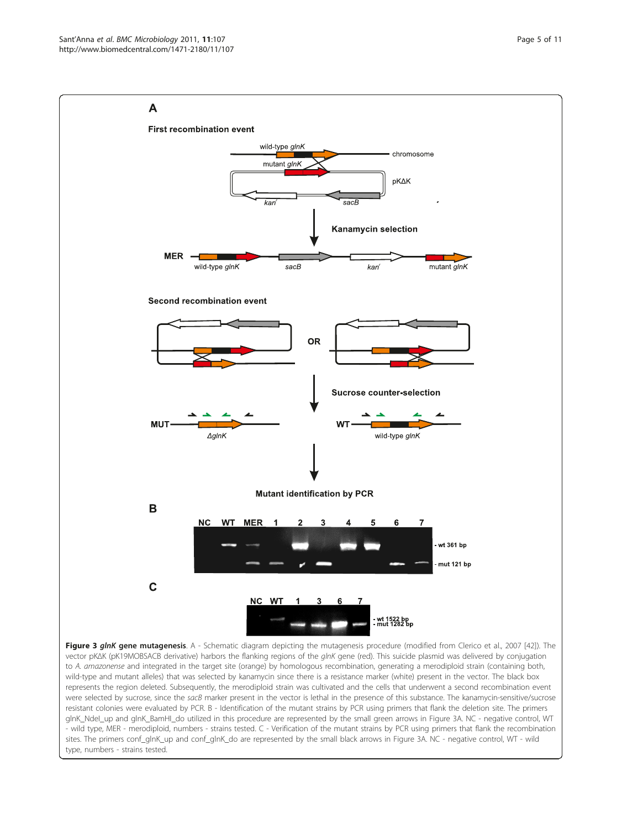<span id="page-4-0"></span>

Figure 3 glnK gene mutagenesis. A - Schematic diagram depicting the mutagenesis procedure (modified from Clerico et al., 2007 [\[42](#page-10-0)]). The vector pKΔK (pK19MOBSACB derivative) harbors the flanking regions of the glnK gene (red). This suicide plasmid was delivered by conjugation to A. amazonense and integrated in the target site (orange) by homologous recombination, generating a merodiploid strain (containing both, wild-type and mutant alleles) that was selected by kanamycin since there is a resistance marker (white) present in the vector. The black box represents the region deleted. Subsequently, the merodiploid strain was cultivated and the cells that underwent a second recombination event were selected by sucrose, since the sacB marker present in the vector is lethal in the presence of this substance. The kanamycin-sensitive/sucrose resistant colonies were evaluated by PCR. B - Identification of the mutant strains by PCR using primers that flank the deletion site. The primers glnK\_NdeI\_up and glnK\_BamHI\_do utilized in this procedure are represented by the small green arrows in Figure 3A. NC - negative control, WT - wild type, MER - merodiploid, numbers - strains tested. C - Verification of the mutant strains by PCR using primers that flank the recombination sites. The primers conf\_glnK\_up and conf\_glnK\_do are represented by the small black arrows in Figure 3A. NC - negative control, WT - wild type, numbers - strains tested.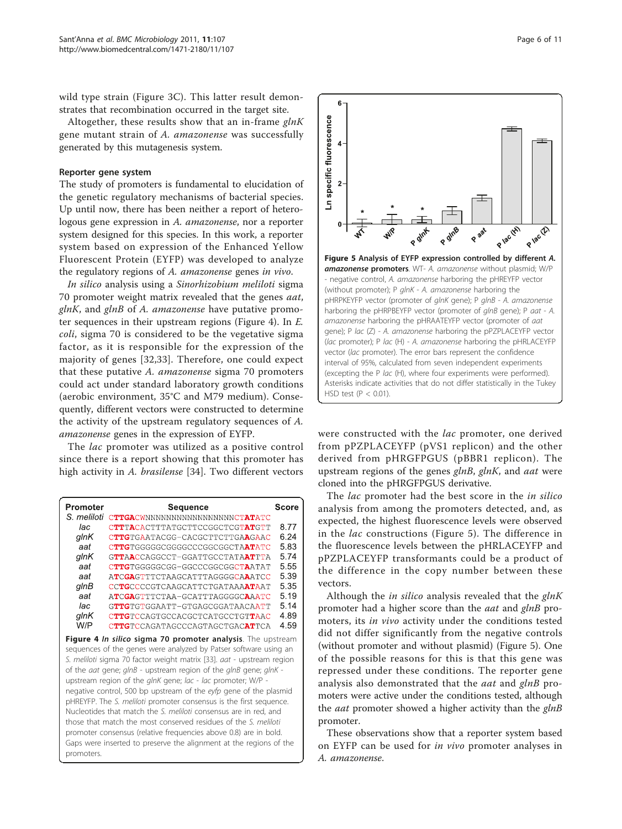wild type strain (Figure [3C\)](#page-4-0). This latter result demonstrates that recombination occurred in the target site.

Altogether, these results show that an in-frame  $glnK$ gene mutant strain of A. amazonense was successfully generated by this mutagenesis system.

#### Reporter gene system

The study of promoters is fundamental to elucidation of the genetic regulatory mechanisms of bacterial species. Up until now, there has been neither a report of heterologous gene expression in A. amazonense, nor a reporter system designed for this species. In this work, a reporter system based on expression of the Enhanced Yellow Fluorescent Protein (EYFP) was developed to analyze the regulatory regions of A. amazonense genes in vivo.

In silico analysis using a Sinorhizobium meliloti sigma 70 promoter weight matrix revealed that the genes aat,  $glnK$ , and  $glnB$  of A. amazonense have putative promoter sequences in their upstream regions (Figure 4). In E. coli, sigma 70 is considered to be the vegetative sigma factor, as it is responsible for the expression of the majority of genes [[32,33](#page-10-0)]. Therefore, one could expect that these putative A. amazonense sigma 70 promoters could act under standard laboratory growth conditions (aerobic environment, 35°C and M79 medium). Consequently, different vectors were constructed to determine the activity of the upstream regulatory sequences of A. amazonense genes in the expression of EYFP.

The *lac* promoter was utilized as a positive control since there is a report showing that this promoter has high activity in A. brasilense [[34\]](#page-10-0). Two different vectors

| Promoter                                                                                                                                                                                                                                                                                                                                                                                                                                                                                                                                                                                                                                                                                                                                                                                     | <b>Sequence</b>                  | <b>Score</b> |  |  |  |
|----------------------------------------------------------------------------------------------------------------------------------------------------------------------------------------------------------------------------------------------------------------------------------------------------------------------------------------------------------------------------------------------------------------------------------------------------------------------------------------------------------------------------------------------------------------------------------------------------------------------------------------------------------------------------------------------------------------------------------------------------------------------------------------------|----------------------------------|--------------|--|--|--|
| S. meliloti                                                                                                                                                                                                                                                                                                                                                                                                                                                                                                                                                                                                                                                                                                                                                                                  | CTTGACWNNNNNNNNNNNNNNNNNNCTATATC |              |  |  |  |
| lac                                                                                                                                                                                                                                                                                                                                                                                                                                                                                                                                                                                                                                                                                                                                                                                          | CTTTACACTTTATGCTTCCGGCTCGTATGTT  | 8 77         |  |  |  |
| glnK                                                                                                                                                                                                                                                                                                                                                                                                                                                                                                                                                                                                                                                                                                                                                                                         | CTTGTGAATACGG-CACGCTTCTTGAAGAAC  | 6.24         |  |  |  |
| aat                                                                                                                                                                                                                                                                                                                                                                                                                                                                                                                                                                                                                                                                                                                                                                                          | CTTGTGGGGGCGGGCCCGGCGGCTAATATC   | 5.83         |  |  |  |
| $q$ In $K$                                                                                                                                                                                                                                                                                                                                                                                                                                                                                                                                                                                                                                                                                                                                                                                   | GTTAACCAGGCCT-GGATTGCCTATAATTTA  | 5.74         |  |  |  |
| aat                                                                                                                                                                                                                                                                                                                                                                                                                                                                                                                                                                                                                                                                                                                                                                                          | CTTGTGGGGGCGG-GGCCCGGCGGCTAATAT  | 5.55         |  |  |  |
| aat                                                                                                                                                                                                                                                                                                                                                                                                                                                                                                                                                                                                                                                                                                                                                                                          | ATCGAGTTTCTAAGCATTTAGGGGCAAATCC  | 5.39         |  |  |  |
| glnB                                                                                                                                                                                                                                                                                                                                                                                                                                                                                                                                                                                                                                                                                                                                                                                         | CCTGCCCCGTCAAGCATTCTGATAAAATAAT  | 5.35         |  |  |  |
| aat                                                                                                                                                                                                                                                                                                                                                                                                                                                                                                                                                                                                                                                                                                                                                                                          | ATCGAGTTTCTAA-GCATTTAGGGGCAAATC  | 5.19         |  |  |  |
| lac                                                                                                                                                                                                                                                                                                                                                                                                                                                                                                                                                                                                                                                                                                                                                                                          | GTTGTGTGGAATT-GTGAGCGGATAACAATT  | 5.14         |  |  |  |
| glnK                                                                                                                                                                                                                                                                                                                                                                                                                                                                                                                                                                                                                                                                                                                                                                                         | CTTGTCCAGTGCCACGCTCATGCCTGTTAAC  | 4.89         |  |  |  |
| W/P                                                                                                                                                                                                                                                                                                                                                                                                                                                                                                                                                                                                                                                                                                                                                                                          | CTTGTCCAGATAGCCCAGTAGCTGACATTCA  | 4.59         |  |  |  |
| Figure 4 In silico sigma 70 promoter analysis. The upstream<br>sequences of the genes were analyzed by Patser software using an<br>S. meliloti sigma 70 factor weight matrix [33]. aat - upstream region<br>of the <i>aat</i> gene; glnB - upstream region of the glnB gene; glnK -<br>upstream region of the glnK gene; lac - lac promoter; W/P -<br>negative control, 500 bp upstream of the eyfp gene of the plasmid<br>pHREYFP. The S. meliloti promoter consensus is the first sequence.<br>Nucleotides that match the S. meliloti consensus are in red, and<br>those that match the most conserved residues of the S. meliloti<br>promoter consensus (relative frequencies above 0.8) are in bold.<br>Gaps were inserted to preserve the alignment at the regions of the<br>promoters. |                                  |              |  |  |  |



were constructed with the lac promoter, one derived from pPZPLACEYFP (pVS1 replicon) and the other derived from pHRGFPGUS (pBBR1 replicon). The upstream regions of the genes glnB, glnK, and aat were cloned into the pHRGFPGUS derivative.

The *lac* promoter had the best score in the *in silico* analysis from among the promoters detected, and, as expected, the highest fluorescence levels were observed in the lac constructions (Figure 5). The difference in the fluorescence levels between the pHRLACEYFP and pPZPLACEYFP transformants could be a product of the difference in the copy number between these vectors.

Although the in silico analysis revealed that the  $glnK$ promoter had a higher score than the *aat* and *glnB* promoters, its in vivo activity under the conditions tested did not differ significantly from the negative controls (without promoter and without plasmid) (Figure 5). One of the possible reasons for this is that this gene was repressed under these conditions. The reporter gene analysis also demonstrated that the *aat* and glnB promoters were active under the conditions tested, although the *aat* promoter showed a higher activity than the *glnB* promoter.

These observations show that a reporter system based on EYFP can be used for in vivo promoter analyses in A. amazonense.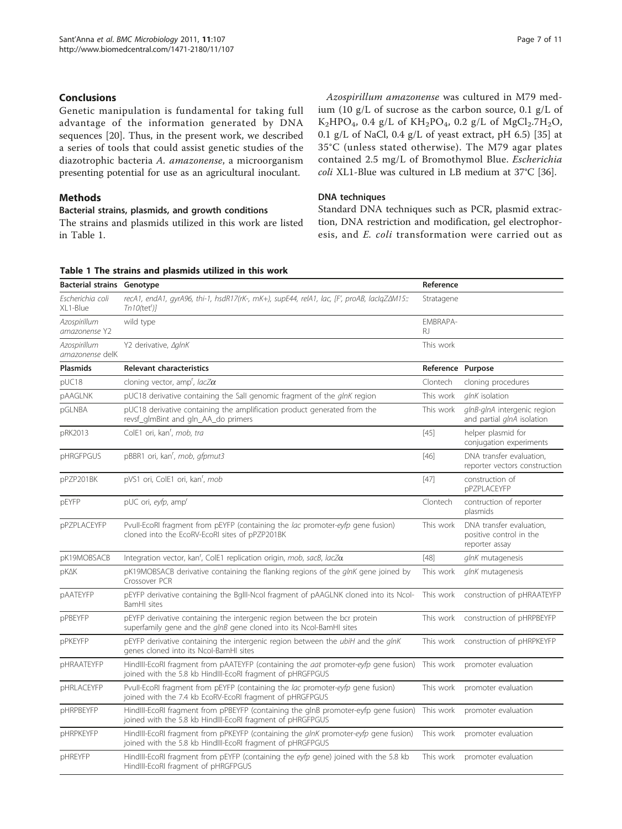# <span id="page-6-0"></span>Conclusions

Genetic manipulation is fundamental for taking full advantage of the information generated by DNA sequences [[20](#page-9-0)]. Thus, in the present work, we described a series of tools that could assist genetic studies of the diazotrophic bacteria A. amazonense, a microorganism presenting potential for use as an agricultural inoculant.

## Methods

# Bacterial strains, plasmids, and growth conditions

The strains and plasmids utilized in this work are listed in Table 1.

Azospirillum amazonense was cultured in M79 medium (10 g/L of sucrose as the carbon source, 0.1 g/L of  $K_2HPO_4$ , 0.4 g/L of  $KH_2PO_4$ , 0.2 g/L of  $MgCl_2.7H_2O$ , 0.1 g/L of NaCl, 0.4 g/L of yeast extract, pH 6.5) [[35](#page-10-0)] at 35°C (unless stated otherwise). The M79 agar plates contained 2.5 mg/L of Bromothymol Blue. Escherichia coli XL1-Blue was cultured in LB medium at 37°C [\[36\]](#page-10-0).

#### DNA techniques

Standard DNA techniques such as PCR, plasmid extraction, DNA restriction and modification, gel electrophoresis, and E. coli transformation were carried out as

#### Table 1 The strains and plasmids utilized in this work

| <b>Bacterial strains</b>        | Genotype                                                                                                                                          | Reference         |                                                                       |
|---------------------------------|---------------------------------------------------------------------------------------------------------------------------------------------------|-------------------|-----------------------------------------------------------------------|
| Escherichia coli<br>XL1-Blue    | recA1, endA1, gyrA96, thi-1, hsdR17(rK-, mK+), supE44, relA1, lac, [F', proAB, laclgZ $\Delta M$ 15.:<br>$Tn10$ (tet') $l$                        | Stratagene        |                                                                       |
| Azospirillum<br>amazonense Y2   | wild type                                                                                                                                         | FMBRAPA-<br>RJ.   |                                                                       |
| Azospirillum<br>amazonense delK | Y2 derivative, AglnK                                                                                                                              | This work         |                                                                       |
| <b>Plasmids</b>                 | <b>Relevant characteristics</b>                                                                                                                   | Reference Purpose |                                                                       |
| pUC18                           | cloning vector, amp <sup>r</sup> , lacZ $\alpha$                                                                                                  | Clontech          | cloning procedures                                                    |
| pAAGLNK                         | pUC18 derivative containing the Sall genomic fragment of the glnK region                                                                          | This work         | glnK isolation                                                        |
| pGLNBA                          | pUC18 derivative containing the amplification product generated from the<br>revsf_glmBint and gln_AA_do primers                                   | This work         | glnB-glnA intergenic region<br>and partial glnA isolation             |
| pRK2013                         | ColE1 ori, kan', mob, tra                                                                                                                         | $[45]$            | helper plasmid for<br>conjugation experiments                         |
| pHRGFPGUS                       | pBBR1 ori, kan', mob, gfpmut3                                                                                                                     | $[46]$            | DNA transfer evaluation,<br>reporter vectors construction             |
| pPZP201BK                       | pVS1 ori, ColE1 ori, kan', mob                                                                                                                    | $[47]$            | construction of<br>pPZPLACEYFP                                        |
| pEYFP                           | pUC ori, eyfp, amp <sup>r</sup>                                                                                                                   | Clontech          | contruction of reporter<br>plasmids                                   |
| pPZPLACEYFP                     | Pvull-EcoRI fragment from pEYFP (containing the lac promoter-eyfp gene fusion)<br>cloned into the EcoRV-EcoRI sites of pPZP201BK                  | This work         | DNA transfer evaluation.<br>positive control in the<br>reporter assay |
| pK19MOBSACB                     | Integration vector, kan <sup>r</sup> , ColE1 replication origin, mob, sacB, lac $Z\alpha$                                                         | $[48]$            | glnK mutagenesis                                                      |
| pK∆K                            | pK19MOBSACB derivative containing the flanking regions of the glnK gene joined by<br>Crossover PCR                                                | This work         | glnK mutagenesis                                                      |
| <b>pAATEYFP</b>                 | pEYFP derivative containing the BgIII-Ncol fragment of pAAGLNK cloned into its Ncol-<br>BamHI sites                                               | This work         | construction of pHRAATEYFP                                            |
| pPBEYFP                         | pEYFP derivative containing the intergenic region between the bcr protein<br>superfamily gene and the glnB gene cloned into its Ncol-BamHI sites  | This work         | construction of pHRPBEYFP                                             |
| pPKEYFP                         | pEYFP derivative containing the intergenic region between the ubiH and the glnK<br>genes cloned into its Ncol-BamHI sites                         | This work         | construction of pHRPKEYFP                                             |
| <b>pHRAATEYFP</b>               | HindIII-EcoRI fragment from pAATEYFP (containing the aat promoter-eyfp gene fusion)<br>joined with the 5.8 kb HindIII-EcoRI fragment of pHRGFPGUS | This work         | promoter evaluation                                                   |
| <b>pHRLACEYFP</b>               | Pvull-EcoRI fragment from pEYFP (containing the lac promoter-eyfp gene fusion)<br>joined with the 7.4 kb EcoRV-EcoRI fragment of pHRGFPGUS        | This work         | promoter evaluation                                                   |
| <b>pHRPBEYFP</b>                | HindIII-EcoRI fragment from pPBEYFP (containing the glnB promoter-eyfp gene fusion)<br>joined with the 5.8 kb HindIII-EcoRI fragment of pHRGFPGUS | This work         | promoter evaluation                                                   |
| <b>pHRPKEYFP</b>                | HindIII-EcoRI fragment from pPKEYFP (containing the glnK promoter-eyfp gene fusion)<br>joined with the 5.8 kb HindIII-EcoRI fragment of pHRGFPGUS | This work         | promoter evaluation                                                   |
| <b>pHREYFP</b>                  | HindIII-EcoRI fragment from pEYFP (containing the eyfp gene) joined with the 5.8 kb<br>HindIII-EcoRI fragment of pHRGFPGUS                        | This work         | promoter evaluation                                                   |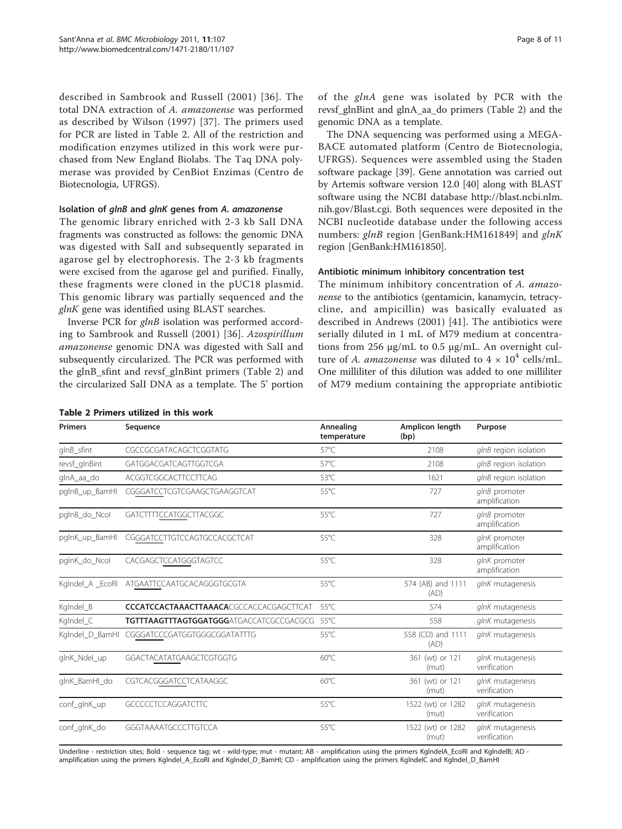<span id="page-7-0"></span>described in Sambrook and Russell (2001) [[36\]](#page-10-0). The total DNA extraction of A. amazonense was performed as described by Wilson (1997) [[37\]](#page-10-0). The primers used for PCR are listed in Table 2. All of the restriction and modification enzymes utilized in this work were purchased from New England Biolabs. The Taq DNA polymerase was provided by CenBiot Enzimas (Centro de Biotecnologia, UFRGS).

## Isolation of glnB and glnK genes from A. amazonense

The genomic library enriched with 2-3 kb SalI DNA fragments was constructed as follows: the genomic DNA was digested with SalI and subsequently separated in agarose gel by electrophoresis. The 2-3 kb fragments were excised from the agarose gel and purified. Finally, these fragments were cloned in the pUC18 plasmid. This genomic library was partially sequenced and the glnK gene was identified using BLAST searches.

Inverse PCR for glnB isolation was performed according to Sambrook and Russell (2001) [[36\]](#page-10-0). Azospirillum amazonense genomic DNA was digested with SalI and subsequently circularized. The PCR was performed with the glnB\_sfint and revsf\_glnBint primers (Table 2) and the circularized SalI DNA as a template. The 5' portion of the glnA gene was isolated by PCR with the revsf\_glnBint and glnA\_aa\_do primers (Table 2) and the genomic DNA as a template.

The DNA sequencing was performed using a MEGA-BACE automated platform (Centro de Biotecnologia, UFRGS). Sequences were assembled using the Staden software package [\[39](#page-10-0)]. Gene annotation was carried out by Artemis software version 12.0 [\[40](#page-10-0)] along with BLAST software using the NCBI database [http://blast.ncbi.nlm.](http://blast.ncbi.nlm.nih.gov/Blast.cgi) [nih.gov/Blast.cgi](http://blast.ncbi.nlm.nih.gov/Blast.cgi). Both sequences were deposited in the NCBI nucleotide database under the following access numbers: glnB region [GenBank:[HM161849](http://www.ncbi.nih.gov/entrez/query.fcgi?db=Nucleotide&cmd=search&term=HM161849)] and glnK region [GenBank[:HM161850](http://www.ncbi.nih.gov/entrez/query.fcgi?db=Nucleotide&cmd=search&term=HM161850)].

# Antibiotic minimum inhibitory concentration test

The minimum inhibitory concentration of A. amazonense to the antibiotics (gentamicin, kanamycin, tetracycline, and ampicillin) was basically evaluated as described in Andrews (2001) [[41](#page-10-0)]. The antibiotics were serially diluted in 1 mL of M79 medium at concentrations from 256 μg/mL to 0.5 μg/mL. An overnight culture of A. amazonense was diluted to  $4 \times 10^4$  cells/mL. One milliliter of this dilution was added to one milliliter of M79 medium containing the appropriate antibiotic

| <b>Primers</b>   | Sequence                                        | Annealing<br>temperature | Amplicon length<br>(bp)    | Purpose                          |
|------------------|-------------------------------------------------|--------------------------|----------------------------|----------------------------------|
| glnB_sfint       | CGCCGCGATACAGCTCGGTATG                          | $57^{\circ}$ C           | 2108                       | glnB region isolation            |
| revsf_glnBint    | GATGGACGATCAGTTGGTCGA                           | $57^{\circ}$ C           | 2108                       | glnB region isolation            |
| glnA_aa_do       | ACGGTCGGCACTTCCTTCAG                            | $53^{\circ}$ C           | 1621                       | glnB region isolation            |
| pglnB_up_BamHI   | CGGGATCCTCGTCGAAGCTGAAGGTCAT                    | 55°C                     | 727                        | glnB promoter<br>amplification   |
| pglnB_do_Ncol    | GATCTTTTCCATGGCTTACGGC                          | $55^{\circ}$ C           | 727                        | glnB promoter<br>amplification   |
| pglnK_up_BamHI   | CGGGATCCTTGTCCAGTGCCACGCTCAT                    | 55°C                     | 328                        | glnK promoter<br>amplification   |
| pglnK do Ncol    | CACGAGCTCCATGGGTAGTCC                           | 55°C                     | 328                        | glnK promoter<br>amplification   |
| KgIndel_A _EcoRI | ATGAATTCCAATGCACAGGGTGCGTA                      | $55^{\circ}$ C           | 574 (AB) and 1111<br>(AD)  | glnK mutagenesis                 |
| KgIndel_B        | <b>CCCATCCACTAAACTTAAACA</b> CGCCACCACGAGCTTCAT | 55°C                     | 574                        | glnK mutagenesis                 |
| Kglndel_C        | <b>TGTTTAAGTTTAGTGGATGGGATGACCATCGCCGACGCG</b>  | .55°C                    | 558                        | glnK mutagenesis                 |
|                  | KgIndel_D_BamHI CGGGATCCCGATGGTGGGCGGATATTTG    | $55^{\circ}$ C           | 558 (CD) and 1111<br>(AD)  | glnK mutagenesis                 |
| glnK_Ndel_up     | GGACTACATATGAAGCTCGTGGTG                        | $60^{\circ}$ C           | 361 (wt) or 121<br>(mut)   | glnK mutagenesis<br>verification |
| glnK BamHI do    | CGTCACGGGATCCTCATAAGGC                          | $60^{\circ}$ C           | 361 (wt) or 121<br>(mut)   | glnK mutagenesis<br>verification |
| conf_glnK_up     | <b>GCCCCCTCCAGGATCTTC</b>                       | 55°C                     | 1522 (wt) or 1282<br>(mut) | glnK mutagenesis<br>verification |
| conf_glnK_do     | GGGTAAAATGCCCTTGTCCA                            | $55^{\circ}$ C           | 1522 (wt) or 1282<br>(mut) | glnK mutagenesis<br>verification |

Underline - restriction sites; Bold - sequence tag; wt - wild-type; mut - mutant; AB - amplification using the primers KglndelA\_EcoRI and KglndelB; AD amplification using the primers Kglndel\_A\_EcoRI and Kglndel\_D\_BamHI; CD - amplification using the primers KglndelC and Kglndel\_D\_BamHI

#### Table 2 Primers utilized in this work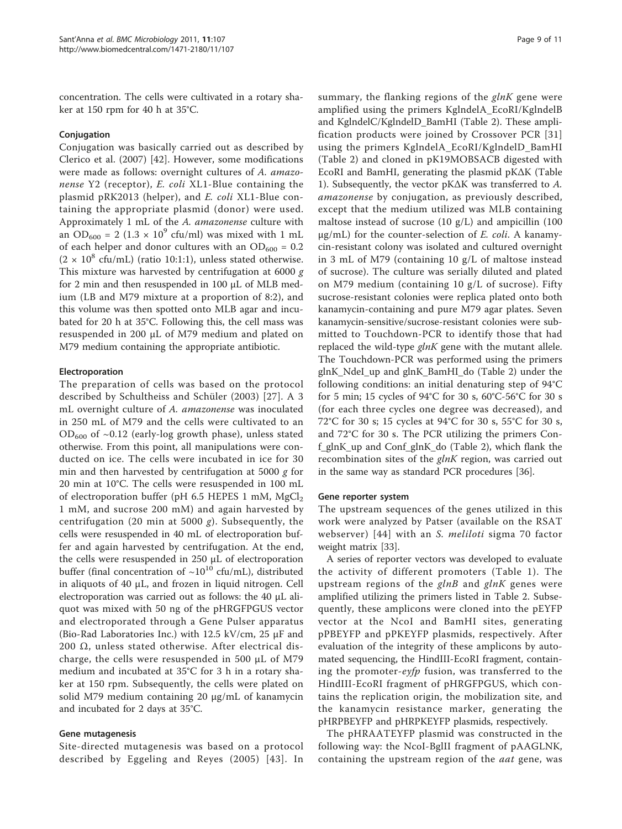concentration. The cells were cultivated in a rotary shaker at 150 rpm for 40 h at 35°C.

#### Conjugation

Conjugation was basically carried out as described by Clerico et al. (2007) [\[42](#page-10-0)]. However, some modifications were made as follows: overnight cultures of A. amazonense Y2 (receptor), E. coli XL1-Blue containing the plasmid pRK2013 (helper), and E. coli XL1-Blue containing the appropriate plasmid (donor) were used. Approximately 1 mL of the A. amazonense culture with an OD<sub>600</sub> = 2 (1.3  $\times$  10<sup>9</sup> cfu/ml) was mixed with 1 mL of each helper and donor cultures with an  $OD_{600} = 0.2$  $(2 \times 10^8 \text{ cftu/mL})$  (ratio 10:1:1), unless stated otherwise. This mixture was harvested by centrifugation at 6000 g for 2 min and then resuspended in 100 μL of MLB medium (LB and M79 mixture at a proportion of 8:2), and this volume was then spotted onto MLB agar and incubated for 20 h at 35°C. Following this, the cell mass was resuspended in 200 μL of M79 medium and plated on M79 medium containing the appropriate antibiotic.

#### Electroporation

The preparation of cells was based on the protocol described by Schultheiss and Schüler (2003) [\[27\]](#page-10-0). A 3 mL overnight culture of A. amazonense was inoculated in 250 mL of M79 and the cells were cultivated to an  $OD_{600}$  of ~0.12 (early-log growth phase), unless stated otherwise. From this point, all manipulations were conducted on ice. The cells were incubated in ice for 30 min and then harvested by centrifugation at 5000  $g$  for 20 min at 10°C. The cells were resuspended in 100 mL of electroporation buffer (pH 6.5 HEPES 1 mM,  $MgCl<sub>2</sub>$ 1 mM, and sucrose 200 mM) and again harvested by centrifugation (20 min at 5000 g). Subsequently, the cells were resuspended in 40 mL of electroporation buffer and again harvested by centrifugation. At the end, the cells were resuspended in 250 μL of electroporation buffer (final concentration of  $\sim 10^{10}$  cfu/mL), distributed in aliquots of 40 μL, and frozen in liquid nitrogen. Cell electroporation was carried out as follows: the 40 μL aliquot was mixed with 50 ng of the pHRGFPGUS vector and electroporated through a Gene Pulser apparatus (Bio-Rad Laboratories Inc.) with 12.5 kV/cm, 25 μF and 200  $\Omega$ , unless stated otherwise. After electrical discharge, the cells were resuspended in 500 μL of M79 medium and incubated at 35°C for 3 h in a rotary shaker at 150 rpm. Subsequently, the cells were plated on solid M79 medium containing 20 μg/mL of kanamycin and incubated for 2 days at 35°C.

#### Gene mutagenesis

Site-directed mutagenesis was based on a protocol described by Eggeling and Reyes (2005) [[43](#page-10-0)]. In summary, the flanking regions of the  $glnK$  gene were amplified using the primers KglndelA\_EcoRI/KglndelB and KglndelC/KglndelD\_BamHI (Table [2](#page-7-0)). These amplification products were joined by Crossover PCR [[31](#page-10-0)] using the primers KglndelA\_EcoRI/KglndelD\_BamHI (Table [2](#page-7-0)) and cloned in pK19MOBSACB digested with EcoRI and BamHI, generating the plasmid pKΔK (Table [1\)](#page-6-0). Subsequently, the vector pKΔK was transferred to A. amazonense by conjugation, as previously described, except that the medium utilized was MLB containing maltose instead of sucrose  $(10 g/L)$  and ampicillin  $(100 g/L)$  $\mu$ g/mL) for the counter-selection of *E. coli*. A kanamycin-resistant colony was isolated and cultured overnight in 3 mL of M79 (containing 10 g/L of maltose instead of sucrose). The culture was serially diluted and plated on M79 medium (containing 10 g/L of sucrose). Fifty sucrose-resistant colonies were replica plated onto both kanamycin-containing and pure M79 agar plates. Seven kanamycin-sensitive/sucrose-resistant colonies were submitted to Touchdown-PCR to identify those that had replaced the wild-type  $glnK$  gene with the mutant allele. The Touchdown-PCR was performed using the primers glnK\_NdeI\_up and glnK\_BamHI\_do (Table [2\)](#page-7-0) under the following conditions: an initial denaturing step of 94°C for 5 min; 15 cycles of 94°C for 30 s, 60°C-56°C for 30 s (for each three cycles one degree was decreased), and 72°C for 30 s; 15 cycles at 94°C for 30 s, 55°C for 30 s, and 72°C for 30 s. The PCR utilizing the primers Conf\_glnK\_up and Conf\_glnK\_do (Table [2\)](#page-7-0), which flank the recombination sites of the  $glnK$  region, was carried out in the same way as standard PCR procedures [\[36\]](#page-10-0).

#### Gene reporter system

The upstream sequences of the genes utilized in this work were analyzed by Patser (available on the RSAT webserver) [[44\]](#page-10-0) with an S. meliloti sigma 70 factor weight matrix [[33\]](#page-10-0).

A series of reporter vectors was developed to evaluate the activity of different promoters (Table [1](#page-6-0)). The upstream regions of the  $glnB$  and  $glnK$  genes were amplified utilizing the primers listed in Table [2](#page-7-0). Subsequently, these amplicons were cloned into the pEYFP vector at the NcoI and BamHI sites, generating pPBEYFP and pPKEYFP plasmids, respectively. After evaluation of the integrity of these amplicons by automated sequencing, the HindIII-EcoRI fragment, containing the promoter-eyfp fusion, was transferred to the HindIII-EcoRI fragment of pHRGFPGUS, which contains the replication origin, the mobilization site, and the kanamycin resistance marker, generating the pHRPBEYFP and pHRPKEYFP plasmids, respectively.

The pHRAATEYFP plasmid was constructed in the following way: the NcoI-BglII fragment of pAAGLNK, containing the upstream region of the *aat* gene, was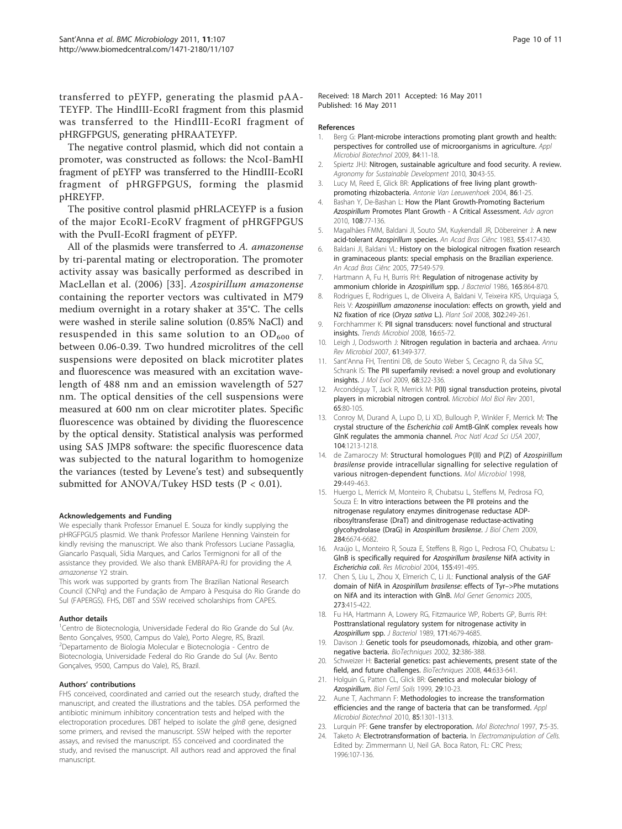<span id="page-9-0"></span>transferred to pEYFP, generating the plasmid pAA-TEYFP. The HindIII-EcoRI fragment from this plasmid was transferred to the HindIII-EcoRI fragment of pHRGFPGUS, generating pHRAATEYFP.

The negative control plasmid, which did not contain a promoter, was constructed as follows: the NcoI-BamHI fragment of pEYFP was transferred to the HindIII-EcoRI fragment of pHRGFPGUS, forming the plasmid pHREYFP.

The positive control plasmid pHRLACEYFP is a fusion of the major EcoRI-EcoRV fragment of pHRGFPGUS with the PvuII-EcoRI fragment of pEYFP.

All of the plasmids were transferred to A. amazonense by tri-parental mating or electroporation. The promoter activity assay was basically performed as described in MacLellan et al. (2006) [[33\]](#page-10-0). Azospirillum amazonense containing the reporter vectors was cultivated in M79 medium overnight in a rotary shaker at 35°C. The cells were washed in sterile saline solution (0.85% NaCl) and resuspended in this same solution to an  $OD_{600}$  of between 0.06-0.39. Two hundred microlitres of the cell suspensions were deposited on black microtiter plates and fluorescence was measured with an excitation wavelength of 488 nm and an emission wavelength of 527 nm. The optical densities of the cell suspensions were measured at 600 nm on clear microtiter plates. Specific fluorescence was obtained by dividing the fluorescence by the optical density. Statistical analysis was performed using SAS JMP8 software: the specific fluorescence data was subjected to the natural logarithm to homogenize the variances (tested by Levene's test) and subsequently submitted for ANOVA/Tukey HSD tests (P < 0.01).

#### Acknowledgements and Funding

We especially thank Professor Emanuel E. Souza for kindly supplying the pHRGFPGUS plasmid. We thank Professor Marilene Henning Vainstein for kindly revising the manuscript. We also thank Professors Luciane Passaglia, Giancarlo Pasquali, Sídia Marques, and Carlos Termignoni for all of the assistance they provided. We also thank EMBRAPA-RJ for providing the A. amazonense Y2 strain.

This work was supported by grants from The Brazilian National Research Council (CNPq) and the Fundação de Amparo à Pesquisa do Rio Grande do Sul (FAPERGS). FHS, DBT and SSW received scholarships from CAPES.

#### Author details

<sup>1</sup>Centro de Biotecnologia, Universidade Federal do Rio Grande do Sul (Av. Bento Gonçalves, 9500, Campus do Vale), Porto Alegre, RS, Brazil. 2 Departamento de Biologia Molecular e Biotecnologia - Centro de Biotecnologia, Universidade Federal do Rio Grande do Sul (Av. Bento Gonçalves, 9500, Campus do Vale), RS, Brazil.

#### Authors' contributions

FHS conceived, coordinated and carried out the research study, drafted the manuscript, and created the illustrations and the tables. DSA performed the antibiotic minimum inhibitory concentration tests and helped with the electroporation procedures. DBT helped to isolate the glnB gene, designed some primers, and revised the manuscript. SSW helped with the reporter assays, and revised the manuscript. ISS conceived and coordinated the study, and revised the manuscript. All authors read and approved the final manuscript.

Received: 18 March 2011 Accepted: 16 May 2011 Published: 16 May 2011

#### References

- 1. Berg G: [Plant-microbe interactions promoting plant growth and health:](http://www.ncbi.nlm.nih.gov/pubmed/19568745?dopt=Abstract) [perspectives for controlled use of microorganisms in agriculture.](http://www.ncbi.nlm.nih.gov/pubmed/19568745?dopt=Abstract) Appl Microbiol Biotechnol 2009, 84:11-18.
- 2. Spiertz JHJ: Nitrogen, sustainable agriculture and food security. A review. Agronomy for Sustainable Development 2010, 30:43-55.
- 3. Lucy M, Reed E, Glick BR: [Applications of free living plant growth](http://www.ncbi.nlm.nih.gov/pubmed/15103234?dopt=Abstract)[promoting rhizobacteria.](http://www.ncbi.nlm.nih.gov/pubmed/15103234?dopt=Abstract) Antonie Van Leeuwenhoek 2004, 86:1-25.
- 4. Bashan Y, De-Bashan L: How the Plant Growth-Promoting Bacterium Azospirillum Promotes Plant Growth - A Critical Assessment. Adv agron 2010, 108:77-136.
- 5. Magalhães FMM, Baldani Jl, Souto SM, Kuykendall JR, Döbereiner J: A new acid-tolerant Azospirillum species. An Acad Bras Ciênc 1983, 55:417-430.
- 6. Baldani JI, Baldani VL: History on the biological nitrogen fixation research in graminaceous plants: special emphasis on the Brazilian experience. An Acad Bras Ciênc 2005, 77:549-579.
- 7. Hartmann A, Fu H, Burris RH: [Regulation of nitrogenase activity by](http://www.ncbi.nlm.nih.gov/pubmed/3081492?dopt=Abstract) [ammonium chloride in](http://www.ncbi.nlm.nih.gov/pubmed/3081492?dopt=Abstract) Azospirillum spp. J Bacteriol 1986, 165:864-870.
- 8. Rodrigues E, Rodrigues L, de Oliveira A, Baldani V, Teixeira KRS, Urquiaga S, Reis V: Azospirillum amazonense inoculation: effects on growth, yield and N2 fixation of rice (Oryza sativa L.). Plant Soil 2008, 302:249-261.
- 9. Forchhammer K: [PII signal transducers: novel functional and structural](http://www.ncbi.nlm.nih.gov/pubmed/18182294?dopt=Abstract) [insights.](http://www.ncbi.nlm.nih.gov/pubmed/18182294?dopt=Abstract) Trends Microbiol 2008, 16:65-72.
- 10. Leigh J, Dodsworth J: [Nitrogen regulation in bacteria and archaea.](http://www.ncbi.nlm.nih.gov/pubmed/17506680?dopt=Abstract) Annu Rev Microbiol 2007, 61:349-377.
- 11. Sant'Anna FH, Trentini DB, de Souto Weber S, Cecagno R, da Silva SC, Schrank IS: [The PII superfamily revised: a novel group and evolutionary](http://www.ncbi.nlm.nih.gov/pubmed/19296042?dopt=Abstract) [insights.](http://www.ncbi.nlm.nih.gov/pubmed/19296042?dopt=Abstract) J Mol Evol 2009, 68:322-336.
- 12. Arcondéguy T, Jack R, Merrick M: [P\(II\) signal transduction proteins, pivotal](http://www.ncbi.nlm.nih.gov/pubmed/11238986?dopt=Abstract) [players in microbial nitrogen control.](http://www.ncbi.nlm.nih.gov/pubmed/11238986?dopt=Abstract) Microbiol Mol Biol Rev 2001, 65:80-105.
- 13. Conroy M, Durand A, Lupo D, Li XD, Bullough P, Winkler F, Merrick M: [The](http://www.ncbi.nlm.nih.gov/pubmed/17220269?dopt=Abstract) crystal structure of the Escherichia coli [AmtB-GlnK complex reveals how](http://www.ncbi.nlm.nih.gov/pubmed/17220269?dopt=Abstract) [GlnK regulates the ammonia channel.](http://www.ncbi.nlm.nih.gov/pubmed/17220269?dopt=Abstract) Proc Natl Acad Sci USA 2007, 104:1213-1218.
- 14. de Zamaroczy M: [Structural homologues P\(II\) and P\(Z\) of](http://www.ncbi.nlm.nih.gov/pubmed/9720864?dopt=Abstract) Azospirillum brasilense [provide intracellular signalling for selective regulation of](http://www.ncbi.nlm.nih.gov/pubmed/9720864?dopt=Abstract) [various nitrogen-dependent functions.](http://www.ncbi.nlm.nih.gov/pubmed/9720864?dopt=Abstract) Mol Microbiol 1998, 29:449-463.
- 15. Huergo L, Merrick M, Monteiro R, Chubatsu L, Steffens M, Pedrosa FO, Souza E: [In vitro interactions between the PII proteins and the](http://www.ncbi.nlm.nih.gov/pubmed/19131333?dopt=Abstract) [nitrogenase regulatory enzymes dinitrogenase reductase ADP](http://www.ncbi.nlm.nih.gov/pubmed/19131333?dopt=Abstract)[ribosyltransferase \(DraT\) and dinitrogenase reductase-activating](http://www.ncbi.nlm.nih.gov/pubmed/19131333?dopt=Abstract) [glycohydrolase \(DraG\) in](http://www.ncbi.nlm.nih.gov/pubmed/19131333?dopt=Abstract) Azospirillum brasilense. J Biol Chem 2009, 284:6674-6682.
- 16. Araújo L, Monteiro R, Souza E, Steffens B, Rigo L, Pedrosa FO, Chubatsu L: [GlnB is specifically required for](http://www.ncbi.nlm.nih.gov/pubmed/15249067?dopt=Abstract) Azospirillum brasilense NifA activity in [Escherichia coli](http://www.ncbi.nlm.nih.gov/pubmed/15249067?dopt=Abstract). Res Microbiol 2004, 155:491-495.
- 17. Chen S, Liu L, Zhou X, Elmerich C, Li JL: [Functional analysis of the GAF](http://www.ncbi.nlm.nih.gov/pubmed/15887032?dopt=Abstract) domain of NifA in [Azospirillum brasilense](http://www.ncbi.nlm.nih.gov/pubmed/15887032?dopt=Abstract): effects of Tyr–>Phe mutations [on NifA and its interaction with GlnB.](http://www.ncbi.nlm.nih.gov/pubmed/15887032?dopt=Abstract) Mol Genet Genomics 2005, 273:415-422.
- 18. Fu HA, Hartmann A, Lowery RG, Fitzmaurice WP, Roberts GP, Burris RH: [Posttranslational regulatory system for nitrogenase activity in](http://www.ncbi.nlm.nih.gov/pubmed/2504694?dopt=Abstract) [Azospirillum](http://www.ncbi.nlm.nih.gov/pubmed/2504694?dopt=Abstract) spp. J Bacteriol 1989, 171:4679-4685.
- 19. Davison J: [Genetic tools for pseudomonads, rhizobia, and other gram](http://www.ncbi.nlm.nih.gov/pubmed/11848415?dopt=Abstract)[negative bacteria.](http://www.ncbi.nlm.nih.gov/pubmed/11848415?dopt=Abstract) BioTechniques 2002, 32:386-388.
- 20. Schweizer H: [Bacterial genetics: past achievements, present state of the](http://www.ncbi.nlm.nih.gov/pubmed/18474038?dopt=Abstract) [field, and future challenges.](http://www.ncbi.nlm.nih.gov/pubmed/18474038?dopt=Abstract) BioTechniques 2008, 44:633-641.
- 21. Holguin G, Patten CL, Glick BR: Genetics and molecular biology of Azospirillum. Biol Fertil Soils 1999, 29:10-23.
- 22. Aune T, Aachmann F: [Methodologies to increase the transformation](http://www.ncbi.nlm.nih.gov/pubmed/19946685?dopt=Abstract) [efficiencies and the range of bacteria that can be transformed.](http://www.ncbi.nlm.nih.gov/pubmed/19946685?dopt=Abstract) Appl Microbiol Biotechnol 2010, 85:1301-1313.
- 23. Lurquin PF: [Gene transfer by electroporation.](http://www.ncbi.nlm.nih.gov/pubmed/9163720?dopt=Abstract) Mol Biotechnol 1997, 7:5-35.
- Taketo A: Electrotransformation of bacteria. In Electromanipulation of Cells. Edited by: Zimmermann U, Neil GA. Boca Raton, FL: CRC Press; 1996:107-136.